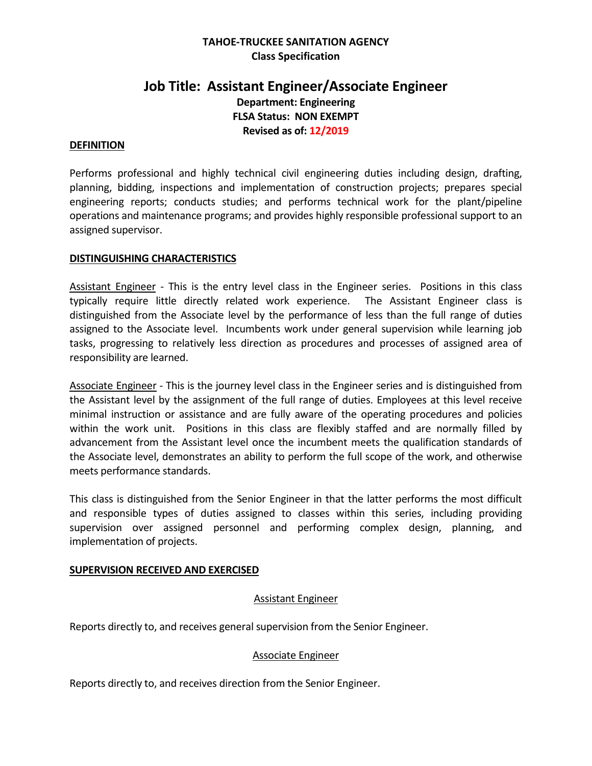## **TAHOE-TRUCKEE SANITATION AGENCY Class Specification**

# **Job Title: Assistant Engineer/Associate Engineer Department: Engineering FLSA Status: NON EXEMPT Revised as of: 12/2019**

#### **DEFINITION**

Performs professional and highly technical civil engineering duties including design, drafting, planning, bidding, inspections and implementation of construction projects; prepares special engineering reports; conducts studies; and performs technical work for the plant/pipeline operations and maintenance programs; and provides highly responsible professional support to an assigned supervisor.

### **DISTINGUISHING CHARACTERISTICS**

Assistant Engineer - This is the entry level class in the Engineer series. Positions in this class typically require little directly related work experience. The Assistant Engineer class is distinguished from the Associate level by the performance of less than the full range of duties assigned to the Associate level. Incumbents work under general supervision while learning job tasks, progressing to relatively less direction as procedures and processes of assigned area of responsibility are learned.

Associate Engineer - This is the journey level class in the Engineer series and is distinguished from the Assistant level by the assignment of the full range of duties. Employees at this level receive minimal instruction or assistance and are fully aware of the operating procedures and policies within the work unit. Positions in this class are flexibly staffed and are normally filled by advancement from the Assistant level once the incumbent meets the qualification standards of the Associate level, demonstrates an ability to perform the full scope of the work, and otherwise meets performance standards.

This class is distinguished from the Senior Engineer in that the latter performs the most difficult and responsible types of duties assigned to classes within this series, including providing supervision over assigned personnel and performing complex design, planning, and implementation of projects.

#### **SUPERVISION RECEIVED AND EXERCISED**

#### Assistant Engineer

Reports directly to, and receives general supervision from the Senior Engineer.

### Associate Engineer

Reports directly to, and receives direction from the Senior Engineer.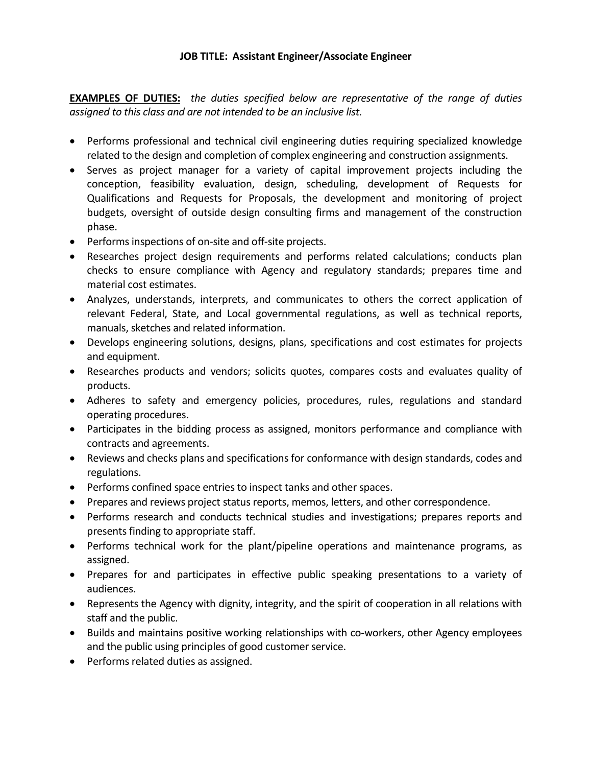**EXAMPLES OF DUTIES:** *the duties specified below are representative of the range of duties assigned to this class and are not intended to be an inclusive list.*

- Performs professional and technical civil engineering duties requiring specialized knowledge related to the design and completion of complex engineering and construction assignments.
- Serves as project manager for a variety of capital improvement projects including the conception, feasibility evaluation, design, scheduling, development of Requests for Qualifications and Requests for Proposals, the development and monitoring of project budgets, oversight of outside design consulting firms and management of the construction phase.
- Performs inspections of on-site and off-site projects.
- Researches project design requirements and performs related calculations; conducts plan checks to ensure compliance with Agency and regulatory standards; prepares time and material cost estimates.
- Analyzes, understands, interprets, and communicates to others the correct application of relevant Federal, State, and Local governmental regulations, as well as technical reports, manuals, sketches and related information.
- Develops engineering solutions, designs, plans, specifications and cost estimates for projects and equipment.
- Researches products and vendors; solicits quotes, compares costs and evaluates quality of products.
- Adheres to safety and emergency policies, procedures, rules, regulations and standard operating procedures.
- Participates in the bidding process as assigned, monitors performance and compliance with contracts and agreements.
- Reviews and checks plans and specifications for conformance with design standards, codes and regulations.
- Performs confined space entries to inspect tanks and other spaces.
- Prepares and reviews project status reports, memos, letters, and other correspondence.
- Performs research and conducts technical studies and investigations; prepares reports and presents finding to appropriate staff.
- Performs technical work for the plant/pipeline operations and maintenance programs, as assigned.
- Prepares for and participates in effective public speaking presentations to a variety of audiences.
- Represents the Agency with dignity, integrity, and the spirit of cooperation in all relations with staff and the public.
- Builds and maintains positive working relationships with co-workers, other Agency employees and the public using principles of good customer service.
- Performs related duties as assigned.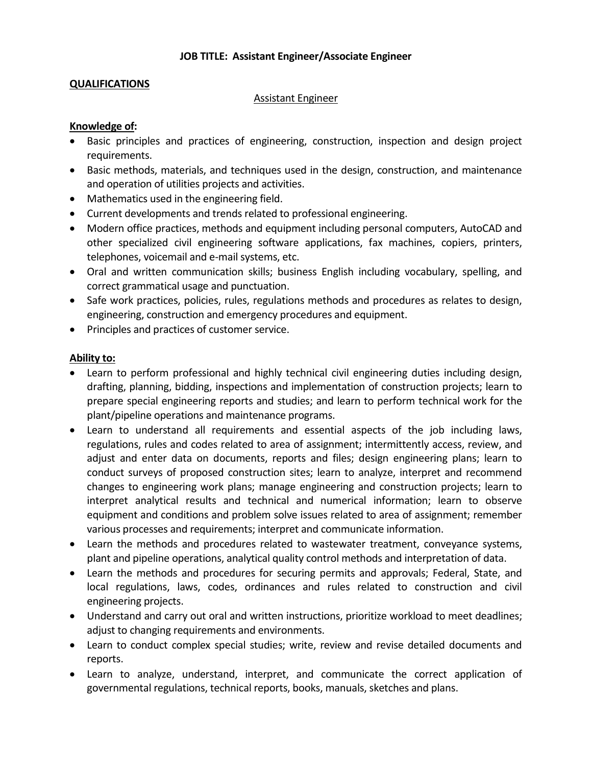## **QUALIFICATIONS**

#### Assistant Engineer

### **Knowledge of:**

- Basic principles and practices of engineering, construction, inspection and design project requirements.
- Basic methods, materials, and techniques used in the design, construction, and maintenance and operation of utilities projects and activities.
- Mathematics used in the engineering field.
- Current developments and trends related to professional engineering.
- Modern office practices, methods and equipment including personal computers, AutoCAD and other specialized civil engineering software applications, fax machines, copiers, printers, telephones, voicemail and e-mail systems, etc.
- Oral and written communication skills; business English including vocabulary, spelling, and correct grammatical usage and punctuation.
- Safe work practices, policies, rules, regulations methods and procedures as relates to design, engineering, construction and emergency procedures and equipment.
- Principles and practices of customer service.

### **Ability to:**

- Learn to perform professional and highly technical civil engineering duties including design, drafting, planning, bidding, inspections and implementation of construction projects; learn to prepare special engineering reports and studies; and learn to perform technical work for the plant/pipeline operations and maintenance programs.
- Learn to understand all requirements and essential aspects of the job including laws, regulations, rules and codes related to area of assignment; intermittently access, review, and adjust and enter data on documents, reports and files; design engineering plans; learn to conduct surveys of proposed construction sites; learn to analyze, interpret and recommend changes to engineering work plans; manage engineering and construction projects; learn to interpret analytical results and technical and numerical information; learn to observe equipment and conditions and problem solve issues related to area of assignment; remember various processes and requirements; interpret and communicate information.
- Learn the methods and procedures related to wastewater treatment, conveyance systems, plant and pipeline operations, analytical quality control methods and interpretation of data.
- Learn the methods and procedures for securing permits and approvals; Federal, State, and local regulations, laws, codes, ordinances and rules related to construction and civil engineering projects.
- Understand and carry out oral and written instructions, prioritize workload to meet deadlines; adjust to changing requirements and environments.
- Learn to conduct complex special studies; write, review and revise detailed documents and reports.
- Learn to analyze, understand, interpret, and communicate the correct application of governmental regulations, technical reports, books, manuals, sketches and plans.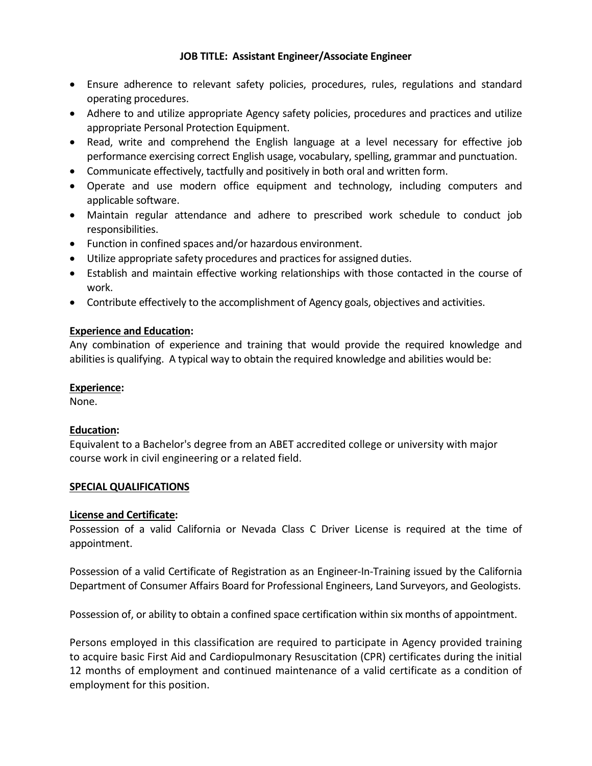- Ensure adherence to relevant safety policies, procedures, rules, regulations and standard operating procedures.
- Adhere to and utilize appropriate Agency safety policies, procedures and practices and utilize appropriate Personal Protection Equipment.
- Read, write and comprehend the English language at a level necessary for effective job performance exercising correct English usage, vocabulary, spelling, grammar and punctuation.
- Communicate effectively, tactfully and positively in both oral and written form.
- Operate and use modern office equipment and technology, including computers and applicable software.
- Maintain regular attendance and adhere to prescribed work schedule to conduct job responsibilities.
- Function in confined spaces and/or hazardous environment.
- Utilize appropriate safety procedures and practices for assigned duties.
- Establish and maintain effective working relationships with those contacted in the course of work.
- Contribute effectively to the accomplishment of Agency goals, objectives and activities.

## **Experience and Education:**

Any combination of experience and training that would provide the required knowledge and abilities is qualifying. A typical way to obtain the required knowledge and abilities would be:

### **Experience:**

None.

## **Education:**

Equivalent to a Bachelor's degree from an ABET accredited college or university with major course work in civil engineering or a related field.

### **SPECIAL QUALIFICATIONS**

### **License and Certificate:**

Possession of a valid California or Nevada Class C Driver License is required at the time of appointment.

Possession of a valid Certificate of Registration as an Engineer-In-Training issued by the California Department of Consumer Affairs Board for Professional Engineers, Land Surveyors, and Geologists.

Possession of, or ability to obtain a confined space certification within six months of appointment.

Persons employed in this classification are required to participate in Agency provided training to acquire basic First Aid and Cardiopulmonary Resuscitation (CPR) certificates during the initial 12 months of employment and continued maintenance of a valid certificate as a condition of employment for this position.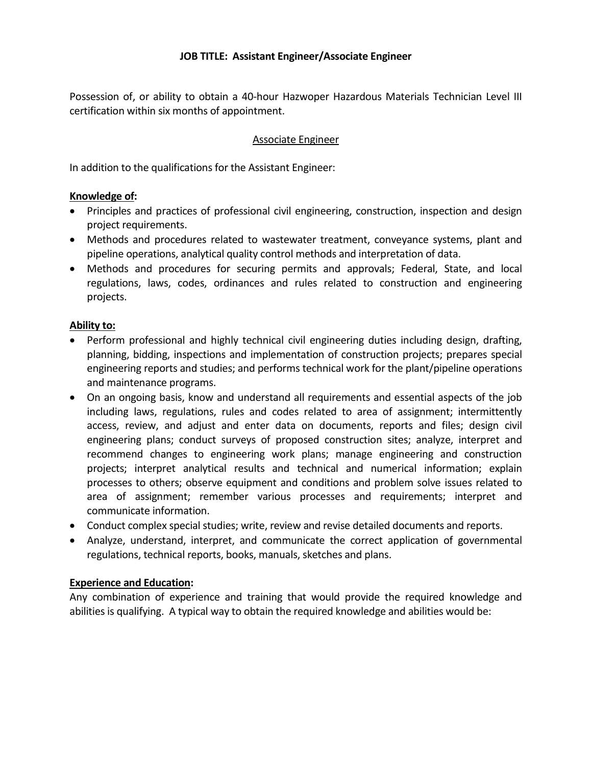Possession of, or ability to obtain a 40-hour Hazwoper Hazardous Materials Technician Level III certification within six months of appointment.

### Associate Engineer

In addition to the qualifications for the Assistant Engineer:

### **Knowledge of:**

- Principles and practices of professional civil engineering, construction, inspection and design project requirements.
- Methods and procedures related to wastewater treatment, conveyance systems, plant and pipeline operations, analytical quality control methods and interpretation of data.
- Methods and procedures for securing permits and approvals; Federal, State, and local regulations, laws, codes, ordinances and rules related to construction and engineering projects.

#### **Ability to:**

- Perform professional and highly technical civil engineering duties including design, drafting, planning, bidding, inspections and implementation of construction projects; prepares special engineering reports and studies; and performs technical work for the plant/pipeline operations and maintenance programs.
- On an ongoing basis, know and understand all requirements and essential aspects of the job including laws, regulations, rules and codes related to area of assignment; intermittently access, review, and adjust and enter data on documents, reports and files; design civil engineering plans; conduct surveys of proposed construction sites; analyze, interpret and recommend changes to engineering work plans; manage engineering and construction projects; interpret analytical results and technical and numerical information; explain processes to others; observe equipment and conditions and problem solve issues related to area of assignment; remember various processes and requirements; interpret and communicate information.
- Conduct complex special studies; write, review and revise detailed documents and reports.
- Analyze, understand, interpret, and communicate the correct application of governmental regulations, technical reports, books, manuals, sketches and plans.

#### **Experience and Education:**

Any combination of experience and training that would provide the required knowledge and abilities is qualifying. A typical way to obtain the required knowledge and abilities would be: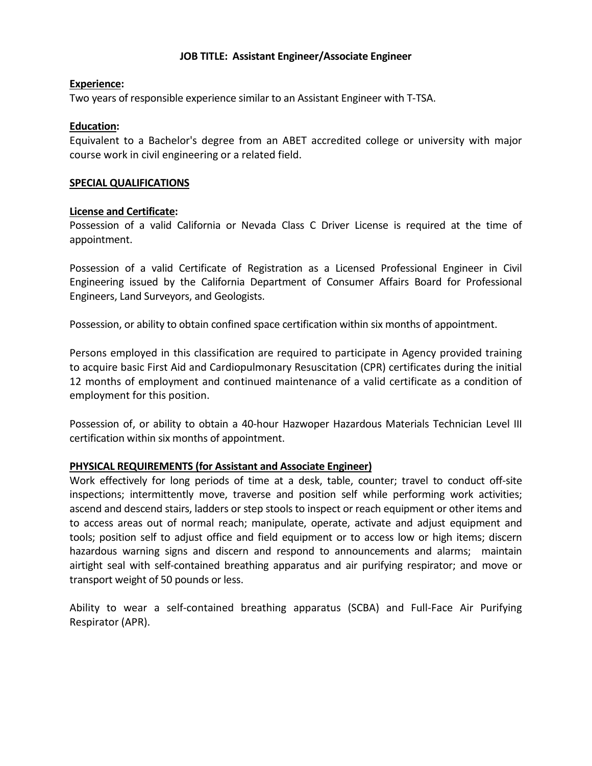#### **Experience:**

Two years of responsible experience similar to an Assistant Engineer with T-TSA.

#### **Education:**

Equivalent to a Bachelor's degree from an ABET accredited college or university with major course work in civil engineering or a related field.

#### **SPECIAL QUALIFICATIONS**

#### **License and Certificate:**

Possession of a valid California or Nevada Class C Driver License is required at the time of appointment.

Possession of a valid Certificate of Registration as a Licensed Professional Engineer in Civil Engineering issued by the California Department of Consumer Affairs Board for Professional Engineers, Land Surveyors, and Geologists.

Possession, or ability to obtain confined space certification within six months of appointment.

Persons employed in this classification are required to participate in Agency provided training to acquire basic First Aid and Cardiopulmonary Resuscitation (CPR) certificates during the initial 12 months of employment and continued maintenance of a valid certificate as a condition of employment for this position.

Possession of, or ability to obtain a 40-hour Hazwoper Hazardous Materials Technician Level III certification within six months of appointment.

### **PHYSICAL REQUIREMENTS (for Assistant and Associate Engineer)**

Work effectively for long periods of time at a desk, table, counter; travel to conduct off-site inspections; intermittently move, traverse and position self while performing work activities; ascend and descend stairs, ladders or step stools to inspect or reach equipment or other items and to access areas out of normal reach; manipulate, operate, activate and adjust equipment and tools; position self to adjust office and field equipment or to access low or high items; discern hazardous warning signs and discern and respond to announcements and alarms; maintain airtight seal with self-contained breathing apparatus and air purifying respirator; and move or transport weight of 50 pounds or less.

Ability to wear a self-contained breathing apparatus (SCBA) and Full-Face Air Purifying Respirator (APR).